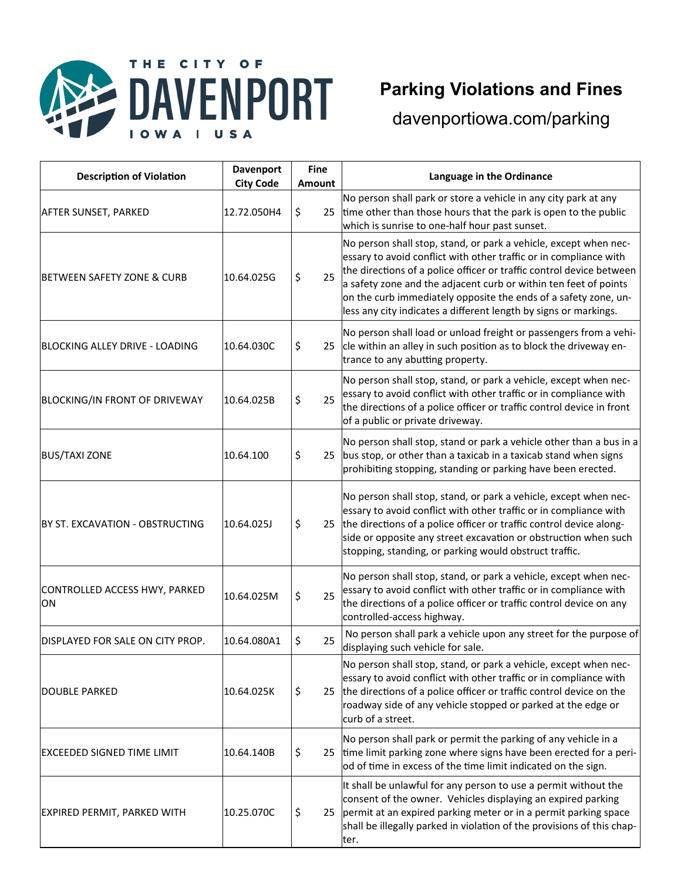



### **Parking Violations and Fines**

| <b>Description of Violation</b>            | <b>Davenport</b><br><b>City Code</b> | <b>Fine</b><br><b>Amount</b> | Language in the Ordinance                                                                                                                                                                                                                                                                                                                                                                                                |
|--------------------------------------------|--------------------------------------|------------------------------|--------------------------------------------------------------------------------------------------------------------------------------------------------------------------------------------------------------------------------------------------------------------------------------------------------------------------------------------------------------------------------------------------------------------------|
| <b>AFTER SUNSET, PARKED</b>                | 12.72.050H4                          | \$<br>25                     | No person shall park or store a vehicle in any city park at any<br>time other than those hours that the park is open to the public<br>which is sunrise to one-half hour past sunset.                                                                                                                                                                                                                                     |
| <b>BETWEEN SAFETY ZONE &amp; CURB</b>      | 10.64.025G                           | \$<br>25                     | No person shall stop, stand, or park a vehicle, except when nec-<br>essary to avoid conflict with other traffic or in compliance with<br>the directions of a police officer or traffic control device between<br>a safety zone and the adjacent curb or within ten feet of points<br>on the curb immediately opposite the ends of a safety zone, un-<br>less any city indicates a different length by signs or markings. |
| BLOCKING ALLEY DRIVE - LOADING             | 10.64.030C                           | \$                           | No person shall load or unload freight or passengers from a vehi-<br>25 cle within an alley in such position as to block the driveway en-<br>trance to any abutting property.                                                                                                                                                                                                                                            |
| <b>BLOCKING/IN FRONT OF DRIVEWAY</b>       | 10.64.025B                           | \$<br>25                     | No person shall stop, stand, or park a vehicle, except when nec-<br>essary to avoid conflict with other traffic or in compliance with<br>the directions of a police officer or traffic control device in front<br>of a public or private driveway.                                                                                                                                                                       |
| <b>BUS/TAXI ZONE</b>                       | 10.64.100                            | \$<br>25                     | No person shall stop, stand or park a vehicle other than a bus in a<br>bus stop, or other than a taxicab in a taxicab stand when signs<br>prohibiting stopping, standing or parking have been erected.                                                                                                                                                                                                                   |
| BY ST. EXCAVATION - OBSTRUCTING            | 10.64.025J                           | \$<br>25                     | No person shall stop, stand, or park a vehicle, except when nec-<br>essary to avoid conflict with other traffic or in compliance with<br>the directions of a police officer or traffic control device along-<br>side or opposite any street excavation or obstruction when such<br>stopping, standing, or parking would obstruct traffic.                                                                                |
| CONTROLLED ACCESS HWY, PARKED<br><b>ON</b> | 10.64.025M                           | \$<br>25                     | No person shall stop, stand, or park a vehicle, except when nec-<br>essary to avoid conflict with other traffic or in compliance with<br>the directions of a police officer or traffic control device on any<br>controlled-access highway.                                                                                                                                                                               |
| DISPLAYED FOR SALE ON CITY PROP.           | 10.64.080A1                          | \$<br>25                     | No person shall park a vehicle upon any street for the purpose of<br>displaying such vehicle for sale.                                                                                                                                                                                                                                                                                                                   |
| DOUBLE PARKED                              | 10.64.025K                           | \$<br>25                     | No person shall stop, stand, or park a vehicle, except when nec-<br>essary to avoid conflict with other traffic or in compliance with<br>the directions of a police officer or traffic control device on the<br>roadway side of any vehicle stopped or parked at the edge or<br>curb of a street.                                                                                                                        |
| <b>EXCEEDED SIGNED TIME LIMIT</b>          | 10.64.140B                           | \$<br>25                     | No person shall park or permit the parking of any vehicle in a<br>time limit parking zone where signs have been erected for a peri-<br>od of time in excess of the time limit indicated on the sign.                                                                                                                                                                                                                     |
| <b>EXPIRED PERMIT, PARKED WITH</b>         | 10.25.070C                           | \$<br>25                     | It shall be unlawful for any person to use a permit without the<br>consent of the owner. Vehicles displaying an expired parking<br>permit at an expired parking meter or in a permit parking space<br>shall be illegally parked in violation of the provisions of this chap-<br>ter.                                                                                                                                     |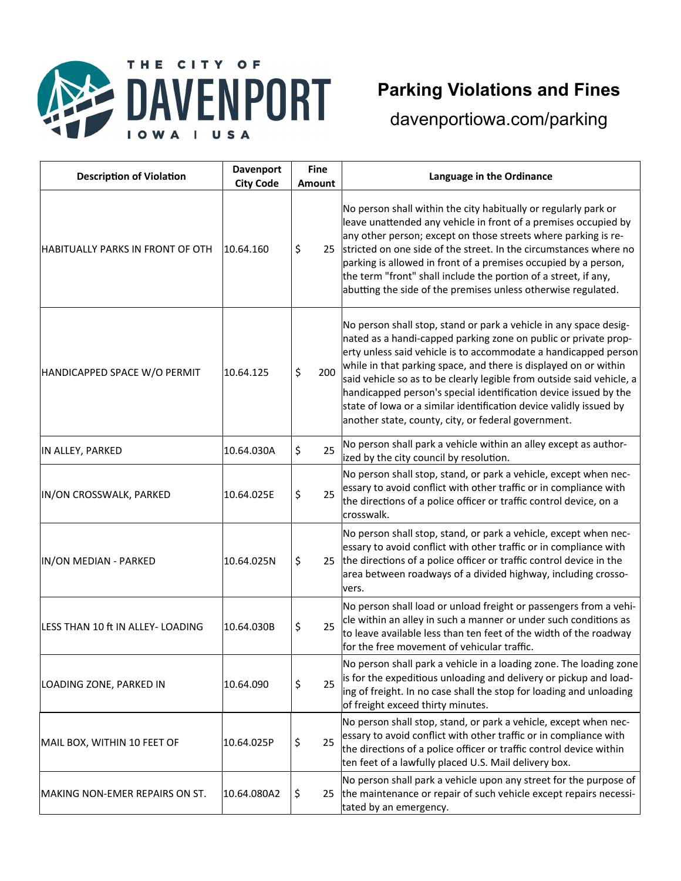



# **Parking Violations and Fines**

| <b>Description of Violation</b>         | <b>Davenport</b><br><b>City Code</b> | <b>Fine</b><br>Amount | Language in the Ordinance                                                                                                                                                                                                                                                                                                                                                                                                                                                                                                                             |
|-----------------------------------------|--------------------------------------|-----------------------|-------------------------------------------------------------------------------------------------------------------------------------------------------------------------------------------------------------------------------------------------------------------------------------------------------------------------------------------------------------------------------------------------------------------------------------------------------------------------------------------------------------------------------------------------------|
| <b>HABITUALLY PARKS IN FRONT OF OTH</b> | 10.64.160                            | \$<br>25              | No person shall within the city habitually or regularly park or<br>leave unattended any vehicle in front of a premises occupied by<br>any other person; except on those streets where parking is re-<br>stricted on one side of the street. In the circumstances where no<br>parking is allowed in front of a premises occupied by a person,<br>the term "front" shall include the portion of a street, if any,<br>abutting the side of the premises unless otherwise regulated.                                                                      |
| HANDICAPPED SPACE W/O PERMIT            | 10.64.125                            | \$<br>200             | No person shall stop, stand or park a vehicle in any space desig-<br>nated as a handi-capped parking zone on public or private prop-<br>erty unless said vehicle is to accommodate a handicapped person<br>while in that parking space, and there is displayed on or within<br>said vehicle so as to be clearly legible from outside said vehicle, a<br>handicapped person's special identification device issued by the<br>state of lowa or a similar identification device validly issued by<br>another state, county, city, or federal government. |
| IN ALLEY, PARKED                        | 10.64.030A                           | \$<br>25              | No person shall park a vehicle within an alley except as author-<br>ized by the city council by resolution.                                                                                                                                                                                                                                                                                                                                                                                                                                           |
| IN/ON CROSSWALK, PARKED                 | 10.64.025E                           | \$<br>25              | No person shall stop, stand, or park a vehicle, except when nec-<br>essary to avoid conflict with other traffic or in compliance with<br>the directions of a police officer or traffic control device, on a<br>crosswalk.                                                                                                                                                                                                                                                                                                                             |
| IN/ON MEDIAN - PARKED                   | 10.64.025N                           | \$                    | No person shall stop, stand, or park a vehicle, except when nec-<br>essary to avoid conflict with other traffic or in compliance with<br>25 the directions of a police officer or traffic control device in the<br>area between roadways of a divided highway, including crosso-<br>vers.                                                                                                                                                                                                                                                             |
| LESS THAN 10 ft IN ALLEY- LOADING       | 10.64.030B                           | \$<br>25              | No person shall load or unload freight or passengers from a vehi-<br>cle within an alley in such a manner or under such conditions as<br>to leave available less than ten feet of the width of the roadway<br>for the free movement of vehicular traffic.                                                                                                                                                                                                                                                                                             |
| LOADING ZONE, PARKED IN                 | 10.64.090                            | \$<br>25              | No person shall park a vehicle in a loading zone. The loading zone<br>is for the expeditious unloading and delivery or pickup and load-<br>ing of freight. In no case shall the stop for loading and unloading<br>of freight exceed thirty minutes.                                                                                                                                                                                                                                                                                                   |
| MAIL BOX, WITHIN 10 FEET OF             | 10.64.025P                           | \$<br>25              | No person shall stop, stand, or park a vehicle, except when nec-<br>essary to avoid conflict with other traffic or in compliance with<br>the directions of a police officer or traffic control device within<br>ten feet of a lawfully placed U.S. Mail delivery box.                                                                                                                                                                                                                                                                                 |
| MAKING NON-EMER REPAIRS ON ST.          | 10.64.080A2                          | \$                    | No person shall park a vehicle upon any street for the purpose of<br>25 the maintenance or repair of such vehicle except repairs necessi-<br>tated by an emergency.                                                                                                                                                                                                                                                                                                                                                                                   |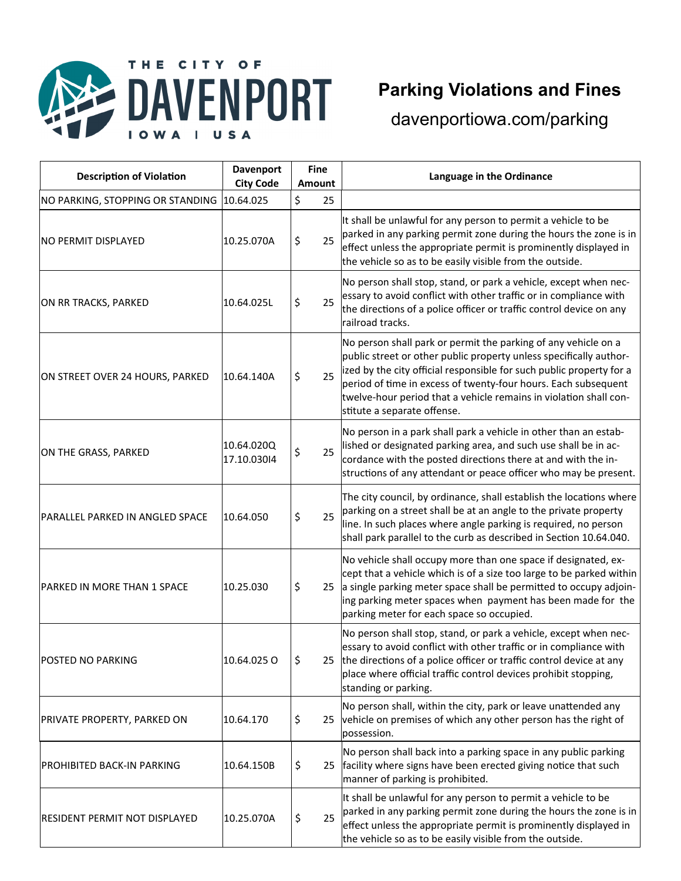

# **Parking Violations and Fines**

| <b>Description of Violation</b>            | <b>Davenport</b><br><b>City Code</b> | <b>Fine</b><br><b>Amount</b> | Language in the Ordinance                                                                                                                                                                                                                                                                                                                                                          |
|--------------------------------------------|--------------------------------------|------------------------------|------------------------------------------------------------------------------------------------------------------------------------------------------------------------------------------------------------------------------------------------------------------------------------------------------------------------------------------------------------------------------------|
| NO PARKING, STOPPING OR STANDING 10.64.025 |                                      | \$<br>25                     |                                                                                                                                                                                                                                                                                                                                                                                    |
| <b>NO PERMIT DISPLAYED</b>                 | 10.25.070A                           | \$<br>25                     | It shall be unlawful for any person to permit a vehicle to be<br>parked in any parking permit zone during the hours the zone is in<br>effect unless the appropriate permit is prominently displayed in<br>the vehicle so as to be easily visible from the outside.                                                                                                                 |
| ON RR TRACKS, PARKED                       | 10.64.025L                           | \$<br>25                     | No person shall stop, stand, or park a vehicle, except when nec-<br>essary to avoid conflict with other traffic or in compliance with<br>the directions of a police officer or traffic control device on any<br>railroad tracks.                                                                                                                                                   |
| ON STREET OVER 24 HOURS, PARKED            | 10.64.140A                           | \$<br>25                     | No person shall park or permit the parking of any vehicle on a<br>public street or other public property unless specifically author-<br>ized by the city official responsible for such public property for a<br>period of time in excess of twenty-four hours. Each subsequent<br>twelve-hour period that a vehicle remains in violation shall con-<br>stitute a separate offense. |
| ON THE GRASS, PARKED                       | 10.64.020Q<br>17.10.03014            | \$<br>25                     | No person in a park shall park a vehicle in other than an estab-<br>lished or designated parking area, and such use shall be in ac-<br>cordance with the posted directions there at and with the in-<br>structions of any attendant or peace officer who may be present.                                                                                                           |
| <b>PARALLEL PARKED IN ANGLED SPACE</b>     | 10.64.050                            | \$<br>25                     | The city council, by ordinance, shall establish the locations where<br>parking on a street shall be at an angle to the private property<br>line. In such places where angle parking is required, no person<br>shall park parallel to the curb as described in Section 10.64.040.                                                                                                   |
| <b>PARKED IN MORE THAN 1 SPACE</b>         | 10.25.030                            | \$                           | No vehicle shall occupy more than one space if designated, ex-<br>cept that a vehicle which is of a size too large to be parked within<br>25 a single parking meter space shall be permitted to occupy adjoin-<br>ing parking meter spaces when payment has been made for the<br>parking meter for each space so occupied.                                                         |
| POSTED NO PARKING                          | 10.64.025 O                          |                              | No person shall stop, stand, or park a vehicle, except when nec-<br>essary to avoid conflict with other traffic or in compliance with<br>25 the directions of a police officer or traffic control device at any<br>place where official traffic control devices prohibit stopping,<br>standing or parking.                                                                         |
| PRIVATE PROPERTY, PARKED ON                | 10.64.170                            | \$                           | No person shall, within the city, park or leave unattended any<br>25 vehicle on premises of which any other person has the right of<br>possession.                                                                                                                                                                                                                                 |
| <b>PROHIBITED BACK-IN PARKING</b>          | 10.64.150B                           | \$<br>25                     | No person shall back into a parking space in any public parking<br>facility where signs have been erected giving notice that such<br>manner of parking is prohibited.                                                                                                                                                                                                              |
| <b>RESIDENT PERMIT NOT DISPLAYED</b>       | 10.25.070A                           | \$<br>25                     | It shall be unlawful for any person to permit a vehicle to be<br>parked in any parking permit zone during the hours the zone is in<br>effect unless the appropriate permit is prominently displayed in<br>the vehicle so as to be easily visible from the outside.                                                                                                                 |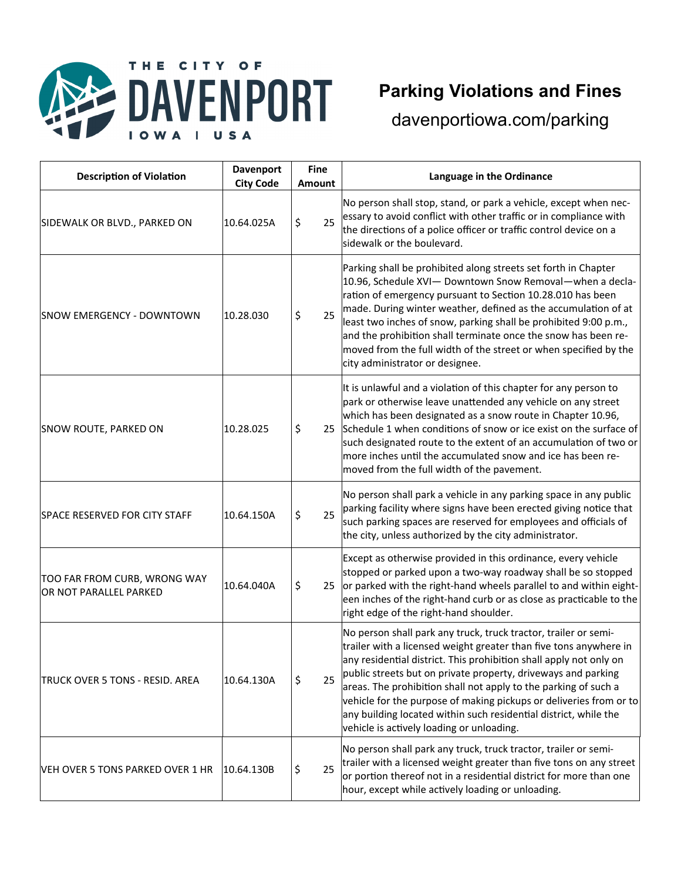

#### THE CITY OF **DAVENPORT USA** I O W

## **Parking Violations and Fines**

| <b>Description of Violation</b>                        | <b>Davenport</b><br><b>City Code</b> | <b>Fine</b><br><b>Amount</b> | Language in the Ordinance                                                                                                                                                                                                                                                                                                                                                                                                                                                                                                             |
|--------------------------------------------------------|--------------------------------------|------------------------------|---------------------------------------------------------------------------------------------------------------------------------------------------------------------------------------------------------------------------------------------------------------------------------------------------------------------------------------------------------------------------------------------------------------------------------------------------------------------------------------------------------------------------------------|
| SIDEWALK OR BLVD., PARKED ON                           | 10.64.025A                           | \$<br>25                     | No person shall stop, stand, or park a vehicle, except when nec-<br>essary to avoid conflict with other traffic or in compliance with<br>the directions of a police officer or traffic control device on a<br>sidewalk or the boulevard.                                                                                                                                                                                                                                                                                              |
| <b>SNOW EMERGENCY - DOWNTOWN</b>                       | 10.28.030                            | 25<br>\$                     | Parking shall be prohibited along streets set forth in Chapter<br>10.96, Schedule XVI- Downtown Snow Removal-when a decla-<br>ration of emergency pursuant to Section 10.28.010 has been<br>made. During winter weather, defined as the accumulation of at<br>least two inches of snow, parking shall be prohibited 9:00 p.m.,<br>and the prohibition shall terminate once the snow has been re-<br>moved from the full width of the street or when specified by the<br>city administrator or designee.                               |
| SNOW ROUTE, PARKED ON                                  | 10.28.025                            | \$                           | It is unlawful and a violation of this chapter for any person to<br>park or otherwise leave unattended any vehicle on any street<br>which has been designated as a snow route in Chapter 10.96,<br>25 Schedule 1 when conditions of snow or ice exist on the surface of<br>such designated route to the extent of an accumulation of two or<br>more inches until the accumulated snow and ice has been re-<br>moved from the full width of the pavement.                                                                              |
| SPACE RESERVED FOR CITY STAFF                          | 10.64.150A                           | \$<br>25                     | No person shall park a vehicle in any parking space in any public<br>parking facility where signs have been erected giving notice that<br>such parking spaces are reserved for employees and officials of<br>the city, unless authorized by the city administrator.                                                                                                                                                                                                                                                                   |
| TOO FAR FROM CURB, WRONG WAY<br>OR NOT PARALLEL PARKED | 10.64.040A                           | \$<br>25                     | Except as otherwise provided in this ordinance, every vehicle<br>stopped or parked upon a two-way roadway shall be so stopped<br>or parked with the right-hand wheels parallel to and within eight-<br>een inches of the right-hand curb or as close as practicable to the<br>right edge of the right-hand shoulder.                                                                                                                                                                                                                  |
| <b>TRUCK OVER 5 TONS - RESID. AREA</b>                 | 10.64.130A                           | \$<br>25                     | No person shall park any truck, truck tractor, trailer or semi-<br>trailer with a licensed weight greater than five tons anywhere in<br>any residential district. This prohibition shall apply not only on<br>public streets but on private property, driveways and parking<br>areas. The prohibition shall not apply to the parking of such a<br>vehicle for the purpose of making pickups or deliveries from or to<br>any building located within such residential district, while the<br>vehicle is actively loading or unloading. |
| VEH OVER 5 TONS PARKED OVER 1 HR                       | 10.64.130B                           | \$<br>25                     | No person shall park any truck, truck tractor, trailer or semi-<br>trailer with a licensed weight greater than five tons on any street<br>or portion thereof not in a residential district for more than one<br>hour, except while actively loading or unloading.                                                                                                                                                                                                                                                                     |